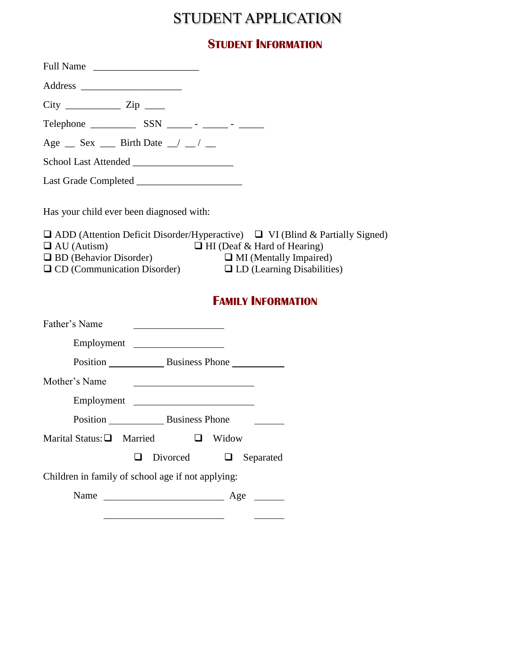## STUDENT APPLICATION

## **STUDENT INFORMATION**

| Full Name                                                                                                                                                                                                                                                                                                                                                                |                                                                                                                                                                                                      |
|--------------------------------------------------------------------------------------------------------------------------------------------------------------------------------------------------------------------------------------------------------------------------------------------------------------------------------------------------------------------------|------------------------------------------------------------------------------------------------------------------------------------------------------------------------------------------------------|
|                                                                                                                                                                                                                                                                                                                                                                          |                                                                                                                                                                                                      |
| $City$ $\frac{1}{\sqrt{2}}$ $\frac{1}{\sqrt{2}}$ $\frac{1}{\sqrt{2}}$ $\frac{1}{\sqrt{2}}$ $\frac{1}{\sqrt{2}}$ $\frac{1}{\sqrt{2}}$ $\frac{1}{\sqrt{2}}$ $\frac{1}{\sqrt{2}}$ $\frac{1}{\sqrt{2}}$ $\frac{1}{\sqrt{2}}$ $\frac{1}{\sqrt{2}}$ $\frac{1}{\sqrt{2}}$ $\frac{1}{\sqrt{2}}$ $\frac{1}{\sqrt{2}}$ $\frac{1}{\sqrt{2}}$ $\frac{1}{\sqrt{2}}$ $\frac{1}{\sqrt{$ |                                                                                                                                                                                                      |
|                                                                                                                                                                                                                                                                                                                                                                          | Telephone $\frac{1}{\sqrt{1-\frac{1}{2}}}\$ SSN $\frac{1}{\sqrt{1-\frac{1}{2}}}\$ $\frac{1}{\sqrt{1-\frac{1}{2}}}\$                                                                                  |
| Age $\_\$ Sex $\_\$ Birth Date $\_\$ $\_\$                                                                                                                                                                                                                                                                                                                               |                                                                                                                                                                                                      |
|                                                                                                                                                                                                                                                                                                                                                                          |                                                                                                                                                                                                      |
|                                                                                                                                                                                                                                                                                                                                                                          |                                                                                                                                                                                                      |
| Has your child ever been diagnosed with:<br>$\Box$ AU (Autism)<br>$\Box$ BD (Behavior Disorder)<br>$\Box$ CD (Communication Disorder)                                                                                                                                                                                                                                    | $\Box$ ADD (Attention Deficit Disorder/Hyperactive) $\Box$ VI (Blind & Partially Signed)<br>$\Box$ HI (Deaf & Hard of Hearing)<br>$\Box$ MI (Mentally Impaired)<br>$\Box$ LD (Learning Disabilities) |
|                                                                                                                                                                                                                                                                                                                                                                          |                                                                                                                                                                                                      |
|                                                                                                                                                                                                                                                                                                                                                                          | <b>FAMILY INFORMATION</b>                                                                                                                                                                            |
|                                                                                                                                                                                                                                                                                                                                                                          |                                                                                                                                                                                                      |
|                                                                                                                                                                                                                                                                                                                                                                          | Employment                                                                                                                                                                                           |
|                                                                                                                                                                                                                                                                                                                                                                          |                                                                                                                                                                                                      |
|                                                                                                                                                                                                                                                                                                                                                                          | <u> 1980 - Johann Barbara, martin amerikan basar da</u>                                                                                                                                              |
|                                                                                                                                                                                                                                                                                                                                                                          | Employment                                                                                                                                                                                           |
| Father's Name<br>Mother's Name                                                                                                                                                                                                                                                                                                                                           | Position Business Phone                                                                                                                                                                              |
| Marital Status: A Married                                                                                                                                                                                                                                                                                                                                                | Widow                                                                                                                                                                                                |
|                                                                                                                                                                                                                                                                                                                                                                          | Divorced<br>Separated<br>❏                                                                                                                                                                           |
| Children in family of school age if not applying:                                                                                                                                                                                                                                                                                                                        |                                                                                                                                                                                                      |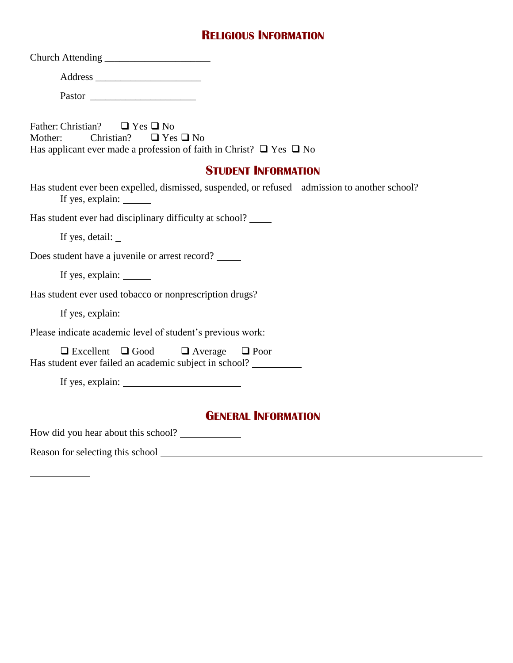## **RELIGIOUS INFORMATION**

| Pastor                                                                                                                                                                    |
|---------------------------------------------------------------------------------------------------------------------------------------------------------------------------|
| Father: Christian? $\Box$ Yes $\Box$ No<br>Christian?<br>$\Box$ Yes $\Box$ No<br>Mother:<br>Has applicant ever made a profession of faith in Christ? $\Box$ Yes $\Box$ No |
| <b>STUDENT INFORMATION</b>                                                                                                                                                |
| Has student ever been expelled, dismissed, suspended, or refused admission to another school?<br>If yes, explain: _______                                                 |
| Has student ever had disciplinary difficulty at school? _______                                                                                                           |
| If yes, detail: $\overline{\phantom{a}}$                                                                                                                                  |
| Does student have a juvenile or arrest record?                                                                                                                            |
| If yes, explain:                                                                                                                                                          |
| Has student ever used tobacco or nonprescription drugs?                                                                                                                   |
| If yes, explain:                                                                                                                                                          |
| Please indicate academic level of student's previous work:                                                                                                                |
| $\Box$ Excellent $\Box$ Good<br>$\Box$ Average<br>$\Box$ Poor<br>Has student ever failed an academic subject in school? __________                                        |
|                                                                                                                                                                           |
| <b>GENERAL INFORMATION</b>                                                                                                                                                |
| How did you hear about this school?                                                                                                                                       |

Reason for selecting this school